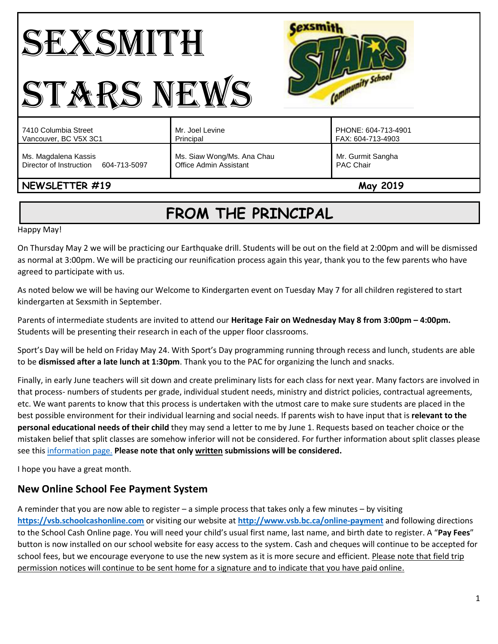# SEXSMITH STARS NEWS



| Ms. Magdalena Kassis                 | Ms. Siaw Wong/Ms. Ana Chau | Mr. Gurmit Sangha   |
|--------------------------------------|----------------------------|---------------------|
| Director of Instruction 604-713-5097 | Office Admin Assistant     | <b>PAC Chair</b>    |
| 7410 Columbia Street                 | Mr. Joel Levine            | PHONE: 604-713-4901 |
| Vancouver, BC V5X 3C1                | Principal                  | FAX: 604-713-4903   |

# **NEWSLETTER #19 May 2019**

# **FROM THE PRINCIPAL**

Happy May!

On Thursday May 2 we will be practicing our Earthquake drill. Students will be out on the field at 2:00pm and will be dismissed as normal at 3:00pm. We will be practicing our reunification process again this year, thank you to the few parents who have agreed to participate with us.

As noted below we will be having our Welcome to Kindergarten event on Tuesday May 7 for all children registered to start kindergarten at Sexsmith in September.

Parents of intermediate students are invited to attend our **Heritage Fair on Wednesday May 8 from 3:00pm – 4:00pm.** Students will be presenting their research in each of the upper floor classrooms.

Sport's Day will be held on Friday May 24. With Sport's Day programming running through recess and lunch, students are able to be **dismissed after a late lunch at 1:30pm**. Thank you to the PAC for organizing the lunch and snacks.

Finally, in early June teachers will sit down and create preliminary lists for each class for next year. Many factors are involved in that process- numbers of students per grade, individual student needs, ministry and district policies, contractual agreements, etc. We want parents to know that this process is undertaken with the utmost care to make sure students are placed in the best possible environment for their individual learning and social needs. If parents wish to have input that is **relevant to the personal educational needs of their child** they may send a letter to me by June 1. Requests based on teacher choice or the mistaken belief that split classes are somehow inferior will not be considered. For further information about split classes please see this [information page.](https://www.vsb.bc.ca/schools/jw-sexsmith/About-Us/Publications/Documents/Multi-Age%20Classes.pdf) **Please note that only written submissions will be considered.**

I hope you have a great month.

# **New Online School Fee Payment System**

A reminder that you are now able to register – a simple process that takes only a few minutes – by visiting **[https://vsb.schoolcashonline.com](https://vsb.schoolcashonline.com/)** or visiting our website at **<http://www.vsb.bc.ca/online-payment>** and following directions to the School Cash Online page. You will need your child's usual first name, last name, and birth date to register. A "**Pay Fees**" button is now installed on our school website for easy access to the system. Cash and cheques will continue to be accepted for school fees, but we encourage everyone to use the new system as it is more secure and efficient. Please note that field trip permission notices will continue to be sent home for a signature and to indicate that you have paid online.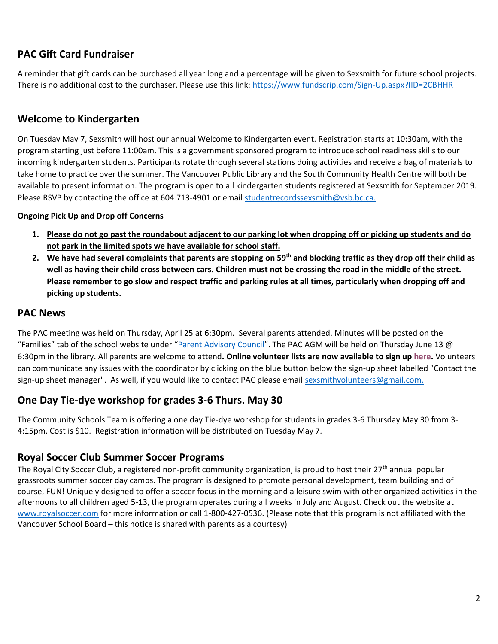# **PAC Gift Card Fundraiser**

A reminder that gift cards can be purchased all year long and a percentage will be given to Sexsmith for future school projects. There is no additional cost to the purchaser. Please use this link:<https://www.fundscrip.com/Sign-Up.aspx?IID=2CBHHR>

## **Welcome to Kindergarten**

On Tuesday May 7, Sexsmith will host our annual Welcome to Kindergarten event. Registration starts at 10:30am, with the program starting just before 11:00am. This is a government sponsored program to introduce school readiness skills to our incoming kindergarten students. Participants rotate through several stations doing activities and receive a bag of materials to take home to practice over the summer. The Vancouver Public Library and the South Community Health Centre will both be available to present information. The program is open to all kindergarten students registered at Sexsmith for September 2019. Please RSVP by contacting the office at 604 713-4901 or email [studentrecordssexsmith@vsb.bc.ca.](mailto:studentrecordssexsmith@vsb.bc.ca)

#### **Ongoing Pick Up and Drop off Concerns**

- **1. Please do not go past the roundabout adjacent to our parking lot when dropping off or picking up students and do not park in the limited spots we have available for school staff.**
- **2. We have had several complaints that parents are stopping on 59th and blocking traffic as they drop off their child as well as having their child cross between cars. Children must not be crossing the road in the middle of the street. Please remember to go slow and respect traffic and parking rules at all times, particularly when dropping off and picking up students.**

#### **PAC News**

The PAC meeting was held on Thursday, April 25 at 6:30pm. Several parents attended. Minutes will be posted on the "Families" tab of the school website under "[Parent Advisory Council](https://www.vsb.bc.ca/schools/jw-sexsmith/Families/Parent-Advisory-Council/Pages/default.aspx)". The PAC AGM will be held on Thursday June 13 @ 6:30pm in the library. All parents are welcome to attend**. Online volunteer lists are now available to sign up [here.](https://www.vsb.bc.ca/schools/jw-sexsmith/Families/Volunteer/Pages/default.aspx?rf=60dffc84-32f0-4e6d-91f4-029ada54abc9)** Volunteers can communicate any issues with the coordinator by clicking on the blue button below the sign-up sheet labelled "Contact the sign-up sheet manager". As well, if you would like to contact PAC please email [sexsmithvolunteers@gmail.com.](mailto:sexsmithvolunteers@gmail.com)

# **One Day Tie-dye workshop for grades 3-6 Thurs. May 30**

The Community Schools Team is offering a one day Tie-dye workshop for students in grades 3-6 Thursday May 30 from 3- 4:15pm. Cost is \$10. Registration information will be distributed on Tuesday May 7.

#### **Royal Soccer Club Summer Soccer Programs**

The Royal City Soccer Club, a registered non-profit community organization, is proud to host their 27<sup>th</sup> annual popular grassroots summer soccer day camps. The program is designed to promote personal development, team building and of course, FUN! Uniquely designed to offer a soccer focus in the morning and a leisure swim with other organized activities in the afternoons to all children aged 5-13, the program operates during all weeks in July and August. Check out the website at [www.royalsoccer.com](http://www.royalsoccer.com/) for more information or call 1-800-427-0536. (Please note that this program is not affiliated with the Vancouver School Board – this notice is shared with parents as a courtesy)